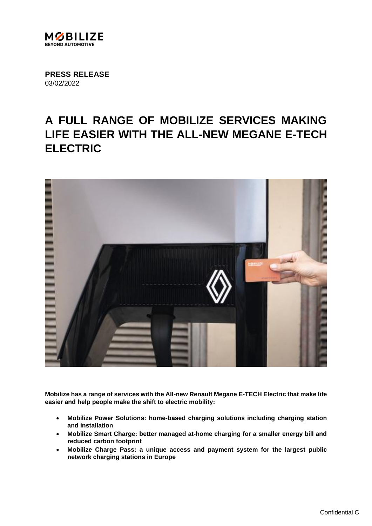

**PRESS RELEASE** 03/02/2022

# **A FULL RANGE OF MOBILIZE SERVICES MAKING LIFE EASIER WITH THE ALL-NEW MEGANE E-TECH ELECTRIC**



**Mobilize has a range of services with the All-new Renault Megane E-TECH Electric that make life easier and help people make the shift to electric mobility:**

- **Mobilize Power Solutions: home-based charging solutions including charging station and installation**
- **Mobilize Smart Charge: better managed at-home charging for a smaller energy bill and reduced carbon footprint**
- **Mobilize Charge Pass: a unique access and payment system for the largest public network charging stations in Europe**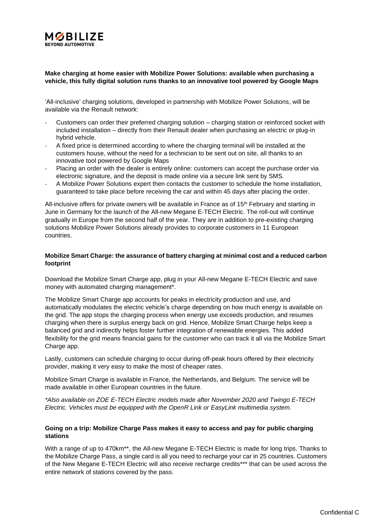

# **Make charging at home easier with Mobilize Power Solutions: available when purchasing a vehicle, this fully digital solution runs thanks to an innovative tool powered by Google Maps**

'All-inclusive' charging solutions, developed in partnership with Mobilize Power Solutions, will be available via the Renault network:

- Customers can order their preferred charging solution charging station or reinforced socket with included installation – directly from their Renault dealer when purchasing an electric or plug-in hybrid vehicle.
- A fixed price is determined according to where the charging terminal will be installed at the customers house, without the need for a technician to be sent out on site, all thanks to an innovative tool powered by Google Maps
- Placing an order with the dealer is entirely online: customers can accept the purchase order via electronic signature, and the deposit is made online via a secure link sent by SMS.
- A Mobilize Power Solutions expert then contacts the customer to schedule the home installation, guaranteed to take place before receiving the car and within 45 days after placing the order.

All-inclusive offers for private owners will be available in France as of 15<sup>th</sup> February and starting in June in Germany for the launch of the All-new Megane E-TECH Electric. The roll-out will continue gradually in Europe from the second half of the year. They are in addition to pre-existing charging solutions Mobilize Power Solutions already provides to corporate customers in 11 European countries.

### **Mobilize Smart Charge: the assurance of battery charging at minimal cost and a reduced carbon footprint**

Download the Mobilize Smart Charge app, plug in your All-new Megane E-TECH Electric and save money with automated charging management\*.

The Mobilize Smart Charge app accounts for peaks in electricity production and use, and automatically modulates the electric vehicle's charge depending on how much energy is available on the grid. The app stops the charging process when energy use exceeds production, and resumes charging when there is surplus energy back on grid. Hence, Mobilize Smart Charge helps keep a balanced grid and indirectly helps foster further integration of renewable energies. This added flexibility for the grid means financial gains for the customer who can track it all via the Mobilize Smart Charge app.

Lastly, customers can schedule charging to occur during off-peak hours offered by their electricity provider, making it very easy to make the most of cheaper rates.

Mobilize Smart Charge is available in France, the Netherlands, and Belgium. The service will be made available in other European countries in the future.

*\*Also available on ZOE E-TECH Electric models made after November 2020 and Twingo E-TECH Electric. Vehicles must be equipped with the OpenR Link or EasyLink multimedia system.*

# **Going on a trip: Mobilize Charge Pass makes it easy to access and pay for public charging stations**

With a range of up to 470km<sup>\*\*</sup>, the All-new Megane E-TECH Electric is made for long trips. Thanks to the Mobilize Charge Pass, a single card is all you need to recharge your car in 25 countries. Customers of the New Megane E-TECH Electric will also receive recharge credits\*\*\* that can be used across the entire network of stations covered by the pass.